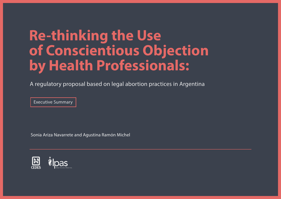## **Re-thinking the Use of Conscientious Objection by Health Professionals:**

A regulatory proposal based on legal abortion practices in Argentina

Executive Summary

Sonia Ariza Navarrete and Agustina Ramón Michel

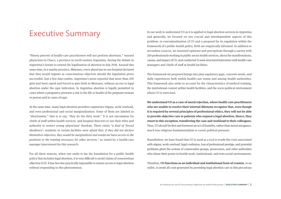"Ninety percent of health-care practitioners will not perform abortions," warned physicians in Chaco, a province in north-eastern Argentina, during the debate in Argentina's Senate to extend the legalization of abortion in July 2018. Around this same time, in a nearby province, Misiones, every physician in one hospital declared that they would register as conscientious objectors should the legislation prove successful. Just a few days earlier, Argentina's press reported that more than 200 girls had been raped and forced to give birth in Misiones, without access to legal abortion under the rape indication. In Argentina abortion is legally permitted in cases where a pregnancy presents a risk to the life or health of the pregnant woman or person and in cases of rape.

At the same time, many legal abortion providers experience stigma, work overload, and even professional and social marginalization. Some of them are labeled as "abortionists," that is to say, "they do the dirty work." It is not uncommon for chiefs of staff within health services and hospital directors to use their titles and authority to restrict young physicians' freedom. There exists "a kind of 'forced obedience'; residents in certain facilities were afraid that, if they did not declare themselves objectors, they would be marginalized and would not have access to the positions or the training necessary for other services," as stated by a health-care manager interviewed for this research.

For all these reasons, when one seeks to lay the foundation for a public health policy that includes legal abortion, it is very difficult to avoid claims of conscientious objection (CO). It has become practically impossible to ensure access to legal abortion without responding to this phenomenon.

Executive Summary In our work to understand CO as it is applied to legal abortion services in Argentina and generally, we focused on two crucial and interdependent aspects of this problem: re-conceptualization of CO and a proposal for its regulation within the framework of a public health policy. Both are empirically informed. In addition to secondary sources, we assessed opinions and perceptions through a survey with 269 professionals working in public sector health services, about the manifestations, causes, and impact of CO, and conducted 11 semi-structured interviews with health-care managers and chiefs of staff at health facilities.

> The framework we proposed brings into play regulatory gaps, concrete needs, and daily experiences both within health-care teams and among health authorities. This framework also seeks to account for the characteristics of medical training, the institutional context within health facilities, and the socio-political environment where CO is exercised.

> **We understand CO as a case of moral rejection, where health-care practitioners who are unable to resolve their internal dilemma recognize that, even though it is required by several principles of professional ethics, they will not be able to provide objective care to patients who request a legal abortion. Hence, they resort to this exception, transferring the case and workload to their colleagues.** Thus, CO should be first and foremost an act of humility, rather than moral arrogance, much less religious fundamentalism or covert political pressure.

> Nonetheless, we have found that CO is used as a tool to evade the costs associated with stigma, work overload, legal confusion, loss of professional prestige, and potential problems given the actions of conservative groups, prosecutors, and other authorities who abuse their power in hostile work, institutional, and even social environments.

> Therefore, **CO functions as an individual and institutional form of evasion**, or an outlet, to avoid all costs generated by providing legal abortion care in this precarious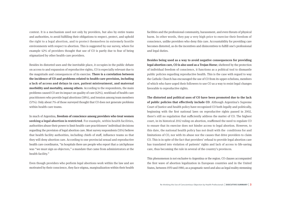context. It is a mechanism used not only by providers, but also by entire teams and authorities, to avoid fulfilling their obligations to respect, protect, and uphold the right to a legal abortion, and to protect themselves in extremely hostile environments with respect to abortion. This is suggested by our survey, where for example 42% of providers thought that use of CO is partly due to fear of being stigmatized by other health-care providers.

Besides its distorted uses and the inevitable place, it occupies in the public debate on access to and expansion of reproductive rights, CO is especially relevant due to the magnitude and consequences of its exercise. **There is a correlation between the incidence of CO and problems related to health-care provision, including a lack of access and delays in care, patient mistreatment, and maternal morbidity and mortality, among others**. According to the respondents, the main problems caused CO are its impact on quality of care (62%), workload of health-care practitioners who provide legal abortions (58%), and tension among team members (57%). Only about 7% of those surveyed thought that CO does not generate problems within health-care teams.

In much of Argentina, **freedom of conscience among providers who treat women seeking a legal abortion is restricted**. For example, within health facilities, authorities abuse their power to limit health-care practitioners' individual decisions regarding the provision of legal abortion care. Most survey respondents (51%) believe that health facility authorities, including chiefs of staff, influence teams so that they will deny abortion care. According to one provincial sexual and reproductive health care coordinator, "in hospitals there are people who report that a catchphrase was "we must sign as objectors," a mandate that came from administrators at the health facility."

Even though providers who perform legal abortions work within the law and are motivated by their conscience, they face stigma, marginalization within their health

facilities and the professional community, harassment, and even threats of physical harm. In other words, they pay a very high price to exercise their freedom of conscience, unlike providers who deny this care. Accountability for providing care becomes distorted, as do the incentives and disincentives to fulfill one's professional and legal duties.

**Besides being used as a way to avoid negative consequences for providing legal abortion care, CO is also used as a Trojan Horse**; sheltered by the protection of individual freedom of conscience, it functions as a political tool to dismantle public policies regarding reproductive health. This is the case with regard to way the Catholic Church has encouraged the use of CO from its upper echelons, members of which who have urged their followers to use CO as a way to resist legal changes favorable to reproductive rights.

**The distorted and political uses of CO have been promoted due to the lack of public policies that effectively include CO**. Although Argentina's Supreme Court of Justice and health policy have recognized CO both legally and politically, beginning with the first national laws on reproductive rights passed in 2002, there's still no regulation that sufficiently address the matter of CO. The highest court, in its historical 2012 ruling on abortion, reaffirmed the need to regulate CO to ensure that its exercise does not hinder access to legal abortion. However, to this date, the national health policy has not dealt with the conditions for and limitations of CO, nor with its abuse nor the causes that drive providers to claim CO. This is in spite of the fact that providers' refusal to provide legal abortion care has translated into violation of patients' rights and lack of access to life-saving care, thus becoming the rule in several of the country's provinces.

This phenomenon is not exclusive to Argentina or the region. CO clauses accompanied the first wave of abortion legalization in European countries and in the United States, between 1970 and 1980, as a pragmatic need and also as legal reality stemming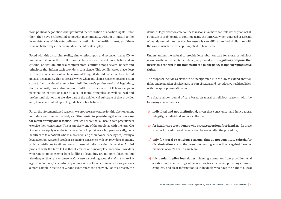from political negotiations that permitted the realization of abortion rights. Since then, they have proliferated somewhat mechanically, without attention to the inconsistencies of this extraordinary institution in the health context, as if there were no better ways to accommodate the interests at play.

Faced with this disturbing reality, aim to reflect upon and reconceptualize CO, to understand it not as the result of conflict between an internal moral belief and an external obligation, but as a complex moral conflict among several beliefs and principles that inform each provider's conscience. This conflict takes place deep within the conscience of each person, although it should consider the external impacts it generates. That is precisely why, when one claims conscientious objection so as to be considered exempt from fulfilling one's professional and legal duty, there is a costly moral dimension. Health providers' use of CO favors a given personal belief over, or place of, a set of moral principles, as well as legal and professional duties that are also part of the axiological substrate of that provider and, hence, are called upon to guide his or her behavior.

For all the aforementioned reasons, we propose a new name for this phenomenon, to understand it more precisely as: **"the denial to provide legal abortion care for moral or religious reasons."** First, we believe that all health-care practitioners exercise their conscience. This is precisely one of the problems with the term CO: it grants monopoly over the term conscience to providers who, paradoxically, deny health care to a patient who is also exercising their conscience by requesting a legal abortion. A second problem is equating conscience with not providing abortions, which contributes to stigma toward those who do provide this service. A third problem with the term CO is that it creates and incomplete scenario. Providers who request to be exempt from fulfilling a legal duty are not only objecting, but also denying that care to someone. Conversely, speaking about the refusal to provide legal abortion care for moral or religious reasons, or for other similar reasons, presents a more complete picture of CO and synthesizes the behavior. For this reason, the denial of legal abortion care for these reasons is a more accurate description of CO. Finally, it is problematic to continue using the term CO, which emerged as a result of mandatory military service, because it is very difficult to find similarities with the way in which the concept is applied in healthcare.

Understanding the refusal to provide legal abortion care for moral or religious reasons in the sense mentioned above, we proceed with a **regulatory proposal that inserts this concept in the framework of a public policy to uphold reproductive rights**.

The proposal includes a clause to be incorporated into the law to extend abortion rights and regulation of said clause as part of sexual and reproductive health policies, with the appropriate rationales.

The clause allows denial of care based on moral or religious reasons, with the following characteristics:

- **i) individual and not institutional**, given that conscience, and hence moral integrity, is individual and not collective;
- ii) for health-care practitioners who practice abortions first-hand, not for those who perform additional tasks, either before or after the procedure;
- **only for moral or religious reasons, that do not constitute criteria for iii) discrimination** against the persons requesting an abortion or against the other members of one's health-care team;
- **iv) this denial implies four duties:** claiming exemption from providing legal abortion care in all settings where one practices medicine; providing accurate, complete, and clear information to individuals who have the right to a legal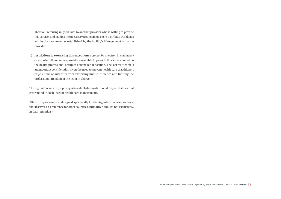abortion, referring in good faith to another provider who is willing to provide this service, and making the necessary arrangements to re-distribute workloads within the care team, as established by the facility's Management or by the provider.

*v***) restrictions to exercising this exception:** it cannot be exercised in emergency cases, when there are no providers available to provide this service, or when the health professional occupies a managerial position. The last restriction is an important consideration given the need to prevent health-care practitioners in positions of authority from exercising undue influence and limiting the professional freedom of the team in charge.

The regulation we are proposing also establishes institutional responsibilities that correspond to each level of health-care management.

While this proposal was designed specifically for the Argentine context, we hope that it serves as a reference for other countries, primarily although not exclusively, in Latin America ▪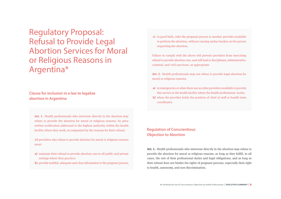Regulatory Proposal: Refusal to Provide Legal Abortion Services for Moral or Religious Reasons in Argentina\*

## **Clause for inclusion in a law to legalize abortion in Argentina**

**Art. 1.**- Health professionals who intervene directly in the abortion may refuse to provide the abortion for moral or religious reasons, by prior written notification addressed to the highest authority within the health facility where they work, accompanied by the reasons for their refusal.

All providers who refuse to provide abortion for moral or religious reasons must:

- maintain their refusal to provide abortion care in all public and private **a)** settings where they practice;
- **b**) provide truthful, adequate and clear information to the pregnant person;

in good faith, refer the pregnant person to another provider available **c)**to perform the abortion, without causing undue burden on the person requesting the abortion.

Failure to comply with the above will prevent providers from exercising refusal to provide abortion care, and will lead to disciplinary, administrative, criminal, and civil sanctions, as appropriate.

**Art. 2**.- Health professionals may not refuse to provide legal abortion for moral or religious reasons:

- **a)** in emergencies or when there are no other providers available to provide this service at the health facility where the health professional works;
- **b**) when the provider holds the position of chief of staff or health team coordinator.

## **Regulation of Conscientious Objection to Abortion**

**Art. 1.**- Health professionals who intervene directly in the abortion may refuse to provide the abortion for moral or religious reasons, as long as they fulfill, in all cases, the rest of their professional duties and legal obligations, and as long as their refusal does not hinder the rights of pregnant persons, especially their right to health, autonomy, and non-discrimination.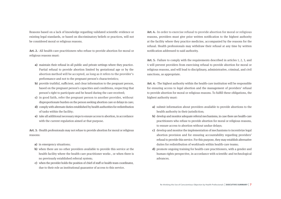Reasons based on a lack of knowledge regarding validated scientific evidence or existing legal standards, or based on discriminatory beliefs or practices, will not be considered moral or religious reasons.

**Art. 2.**- All health-care practitioners who refuse to provide abortion for moral or religious reasons must:

- maintain their refusal in all public and private settings where they practice. **a)**  Partial refusal to provide abortion limited by gestational age or by the abortion method will be accepted, as long as it refers to the provider's performance and not to the pregnant person's characteristics;
- **b)** provide truthful, sufficient, and clear information to the pregnant person, based on the pregnant person's capacities and conditions, respecting that person's right to participate and be heard during the care received;
- **c)** in good faith, refer the pregnant person to another provider, without disproportionate burden on the person seeking abortion care or delays in care;
- comply with alternate duties established by health authorities for redistribution **d)**  of tasks within the facility;
- take all additional necessary steps to ensure access to abortion, in accordance **e)**  with the current regulation aimed at that purpose.

**Art. 3.**- Health professionals may not refuse to provide abortion for moral or religious reasons:

- **a)** in emergency situations;
- **b**) when there are no other providers available to provide this service at the health facility where the health-care practitioner works , or when there is no previously established referral system;
- when the provider holds the position of chief of staff or health team coordinator, **c)**  due to their role as institutional guarantor of access to this service.

**Art. 4.**- In order to exercise refusal to provide abortion for moral or religious reasons, providers must give prior written notification to the highest authority at the facility where they practice medicine, accompanied by the reasons for the refusal. Health professionals may withdraw their refusal at any time by written notification addressed to said authority.

**Art. 5.**- Failure to comply with the requirements described in articles 1, 2, 3, and 4 will prevent providers from exercising refusal to provide abortion for moral or religious reasons, and will lead to disciplinary, administrative, criminal, and civil sanctions, as appropriate.

**Art. 6.**- The highest authority within the health-care institution will be responsible for ensuring access to legal abortion and the management of providers' refusal to provide abortion for moral or religious reasons. To fulfill these obligations, the highest authority must:

- submit information about providers available to provide abortions to the **a)**  health authority in their jurisdiction;
- **b**) develop and monitor adequate referral mechanisms, in case there are health-care practitioners who refuse to provide abortion for moral or religious reasons, to ensure access to abortion without undue delays;
- develop and monitor the implementation of mechanisms to incentivize legal **c)**  abortion provision and for ensuring accountability regarding providers' refusal to provide this service. For this purpose, they may establish alternative duties for redistribution of workloads within health-care teams;
- **d)** promote ongoing training for health-care practitioners, with a gender and human rights perspective, in accordance with scientific and technological advances.